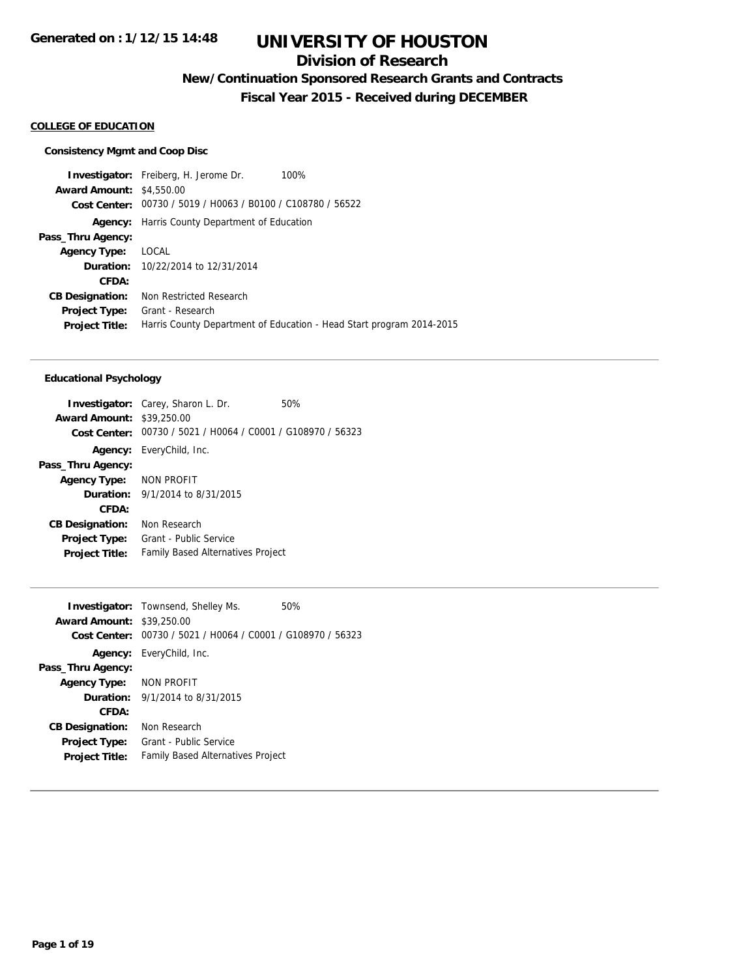### **Division of Research**

**New/Continuation Sponsored Research Grants and Contracts**

**Fiscal Year 2015 - Received during DECEMBER**

#### **COLLEGE OF EDUCATION**

#### **Consistency Mgmt and Coop Disc**

**Investigator:** Freiberg, H. Jerome Dr. 100% **Award Amount:** \$4,550.00 **Cost Center:** 00730 / 5019 / H0063 / B0100 / C108780 / 56522 **Agency:** Harris County Department of Education **Pass\_Thru Agency: Agency Type:** LOCAL **Duration:** 10/22/2014 to 12/31/2014 **CFDA: CB Designation:** Non Restricted Research **Project Type:** Grant - Research **Project Title:** Harris County Department of Education - Head Start program 2014-2015

#### **Educational Psychology**

|                                  | <b>Investigator:</b> Carey, Sharon L. Dr.<br>50%            |  |
|----------------------------------|-------------------------------------------------------------|--|
| <b>Award Amount: \$39,250.00</b> |                                                             |  |
|                                  | Cost Center: 00730 / 5021 / H0064 / C0001 / G108970 / 56323 |  |
|                                  | <b>Agency:</b> EveryChild, Inc.                             |  |
| Pass_Thru Agency:                |                                                             |  |
| Agency Type: NON PROFIT          |                                                             |  |
|                                  | <b>Duration:</b> 9/1/2014 to 8/31/2015                      |  |
| CFDA:                            |                                                             |  |
| <b>CB Designation:</b>           | Non Research                                                |  |
| <b>Project Type:</b>             | Grant - Public Service                                      |  |
| <b>Project Title:</b>            | <b>Family Based Alternatives Project</b>                    |  |
|                                  |                                                             |  |

| <b>Award Amount: \$39,250.00</b> | <b>Investigator:</b> Townsend, Shelley Ms.                  | 50% |
|----------------------------------|-------------------------------------------------------------|-----|
|                                  | Cost Center: 00730 / 5021 / H0064 / C0001 / G108970 / 56323 |     |
|                                  | <b>Agency:</b> EveryChild, Inc.                             |     |
| Pass_Thru Agency:                |                                                             |     |
| Agency Type: NON PROFIT          |                                                             |     |
|                                  | <b>Duration:</b> $9/1/2014$ to $8/31/2015$                  |     |
| CFDA:                            |                                                             |     |
| <b>CB Designation:</b>           | Non Research                                                |     |
| <b>Project Type:</b>             | Grant - Public Service                                      |     |
| <b>Project Title:</b>            | <b>Family Based Alternatives Project</b>                    |     |
|                                  |                                                             |     |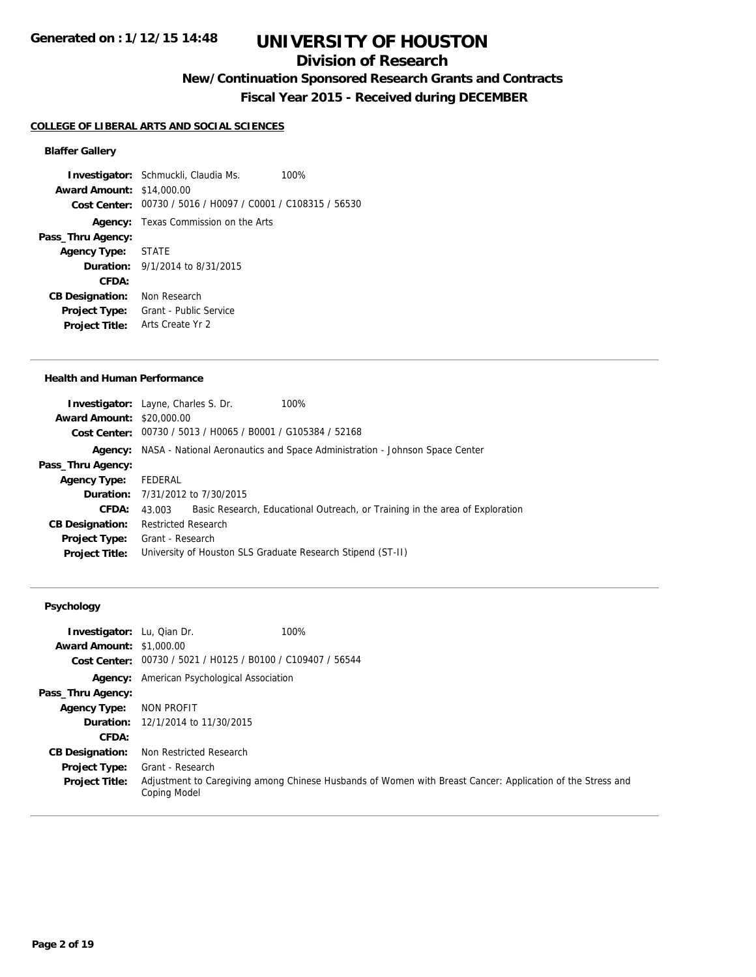### **Division of Research**

## **New/Continuation Sponsored Research Grants and Contracts**

**Fiscal Year 2015 - Received during DECEMBER**

#### **COLLEGE OF LIBERAL ARTS AND SOCIAL SCIENCES**

### **Blaffer Gallery**

**Investigator:** Schmuckli, Claudia Ms. 100% **Award Amount:** \$14,000.00 **Cost Center:** 00730 / 5016 / H0097 / C0001 / C108315 / 56530 **Agency:** Texas Commission on the Arts **Pass\_Thru Agency: Agency Type:** STATE **Duration:** 9/1/2014 to 8/31/2015 **CFDA: CB Designation:** Non Research **Project Type:** Grant - Public Service **Project Title:** Arts Create Yr 2

#### **Health and Human Performance**

|                                  | <b>Investigator:</b> Layne, Charles S. Dr.                  | 100%                                                                                       |
|----------------------------------|-------------------------------------------------------------|--------------------------------------------------------------------------------------------|
|                                  |                                                             |                                                                                            |
| <b>Award Amount: \$20,000.00</b> |                                                             |                                                                                            |
|                                  | Cost Center: 00730 / 5013 / H0065 / B0001 / G105384 / 52168 |                                                                                            |
|                                  |                                                             | <b>Agency:</b> NASA - National Aeronautics and Space Administration - Johnson Space Center |
| Pass_Thru Agency:                |                                                             |                                                                                            |
| <b>Agency Type:</b>              | FEDERAL                                                     |                                                                                            |
|                                  | <b>Duration:</b> 7/31/2012 to 7/30/2015                     |                                                                                            |
| CFDA:                            | 43.003                                                      | Basic Research, Educational Outreach, or Training in the area of Exploration               |
| <b>CB Designation:</b>           | <b>Restricted Research</b>                                  |                                                                                            |
| <b>Project Type:</b>             | Grant - Research                                            |                                                                                            |
| <b>Project Title:</b>            | University of Houston SLS Graduate Research Stipend (ST-II) |                                                                                            |
|                                  |                                                             |                                                                                            |

### **Psychology**

| <b>Investigator:</b> Lu, Qian Dr. | 100%                                                                                                                       |
|-----------------------------------|----------------------------------------------------------------------------------------------------------------------------|
| <b>Award Amount: \$1,000.00</b>   |                                                                                                                            |
|                                   | Cost Center: 00730 / 5021 / H0125 / B0100 / C109407 / 56544                                                                |
|                                   | <b>Agency:</b> American Psychological Association                                                                          |
| Pass_Thru Agency:                 |                                                                                                                            |
| <b>Agency Type:</b>               | NON PROFIT                                                                                                                 |
|                                   | <b>Duration:</b> 12/1/2014 to 11/30/2015                                                                                   |
| CFDA:                             |                                                                                                                            |
| <b>CB Designation:</b>            | Non Restricted Research                                                                                                    |
| <b>Project Type:</b>              | Grant - Research                                                                                                           |
| <b>Project Title:</b>             | Adjustment to Caregiving among Chinese Husbands of Women with Breast Cancer: Application of the Stress and<br>Coping Model |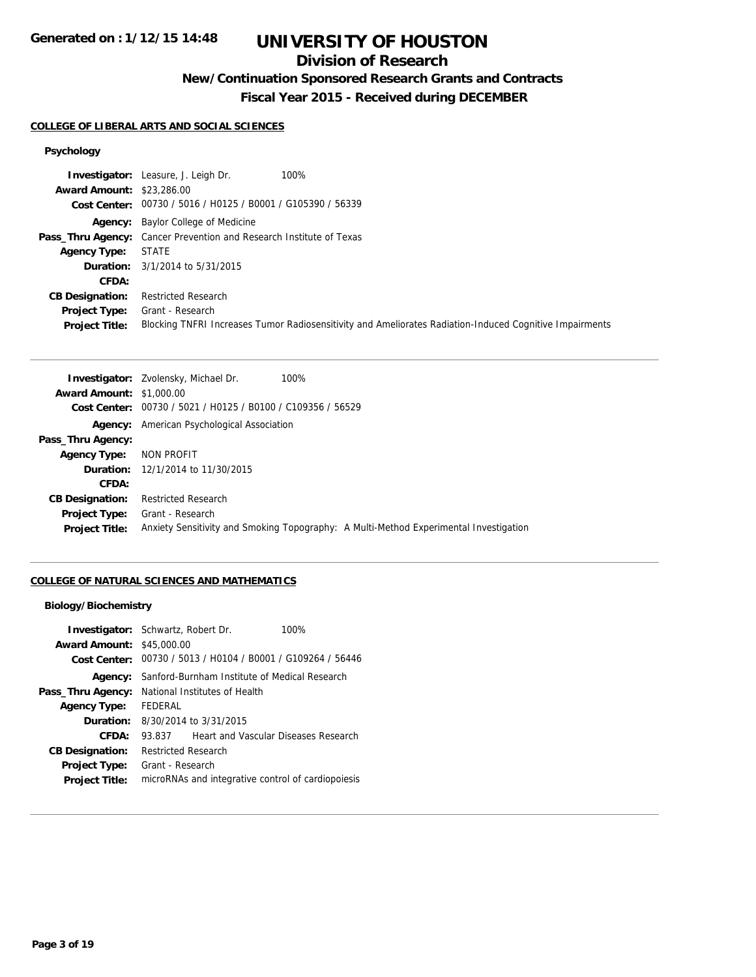### **Division of Research**

## **New/Continuation Sponsored Research Grants and Contracts**

**Fiscal Year 2015 - Received during DECEMBER**

### **COLLEGE OF LIBERAL ARTS AND SOCIAL SCIENCES**

## **Psychology**

|                                  | 100%<br><b>Investigator:</b> Leasure, J. Leigh Dr.                                                      |
|----------------------------------|---------------------------------------------------------------------------------------------------------|
| <b>Award Amount: \$23,286.00</b> |                                                                                                         |
|                                  | Cost Center: 00730 / 5016 / H0125 / B0001 / G105390 / 56339                                             |
|                                  | <b>Agency:</b> Baylor College of Medicine                                                               |
|                                  | <b>Pass_Thru Agency:</b> Cancer Prevention and Research Institute of Texas                              |
| <b>Agency Type:</b>              | STATE                                                                                                   |
|                                  | <b>Duration:</b> $3/1/2014$ to $5/31/2015$                                                              |
| CFDA:                            |                                                                                                         |
| <b>CB Designation:</b>           | <b>Restricted Research</b>                                                                              |
| <b>Project Type:</b>             | Grant - Research                                                                                        |
| <b>Project Title:</b>            | Blocking TNFRI Increases Tumor Radiosensitivity and Ameliorates Radiation-Induced Cognitive Impairments |

| 100%<br><b>Investigator:</b> Zvolensky, Michael Dr.                                   |
|---------------------------------------------------------------------------------------|
| <b>Award Amount: \$1,000.00</b>                                                       |
| Cost Center: 00730 / 5021 / H0125 / B0100 / C109356 / 56529                           |
| <b>Agency:</b> American Psychological Association                                     |
|                                                                                       |
| NON PROFIT                                                                            |
| <b>Duration:</b> 12/1/2014 to 11/30/2015                                              |
|                                                                                       |
| <b>Restricted Research</b>                                                            |
| Grant - Research                                                                      |
| Anxiety Sensitivity and Smoking Topography: A Multi-Method Experimental Investigation |
|                                                                                       |

### **COLLEGE OF NATURAL SCIENCES AND MATHEMATICS**

#### **Biology/Biochemistry**

| <b>Investigator:</b> Schwartz, Robert Dr.<br><b>Award Amount: \$45,000.00</b> |                                                    | Cost Center: 00730 / 5013 / H0104 / B0001 / G109264 / 56446 | 100% |
|-------------------------------------------------------------------------------|----------------------------------------------------|-------------------------------------------------------------|------|
| Agency:                                                                       |                                                    | Sanford-Burnham Institute of Medical Research               |      |
| Pass_Thru Agency:                                                             |                                                    | National Institutes of Health                               |      |
| <b>Agency Type:</b>                                                           | FEDERAL                                            |                                                             |      |
| <b>Duration:</b>                                                              |                                                    | 8/30/2014 to 3/31/2015                                      |      |
| CFDA:                                                                         | 93.837                                             | Heart and Vascular Diseases Research                        |      |
| <b>CB Designation:</b>                                                        | <b>Restricted Research</b>                         |                                                             |      |
| <b>Project Type:</b>                                                          | Grant - Research                                   |                                                             |      |
| <b>Project Title:</b>                                                         | microRNAs and integrative control of cardiopoiesis |                                                             |      |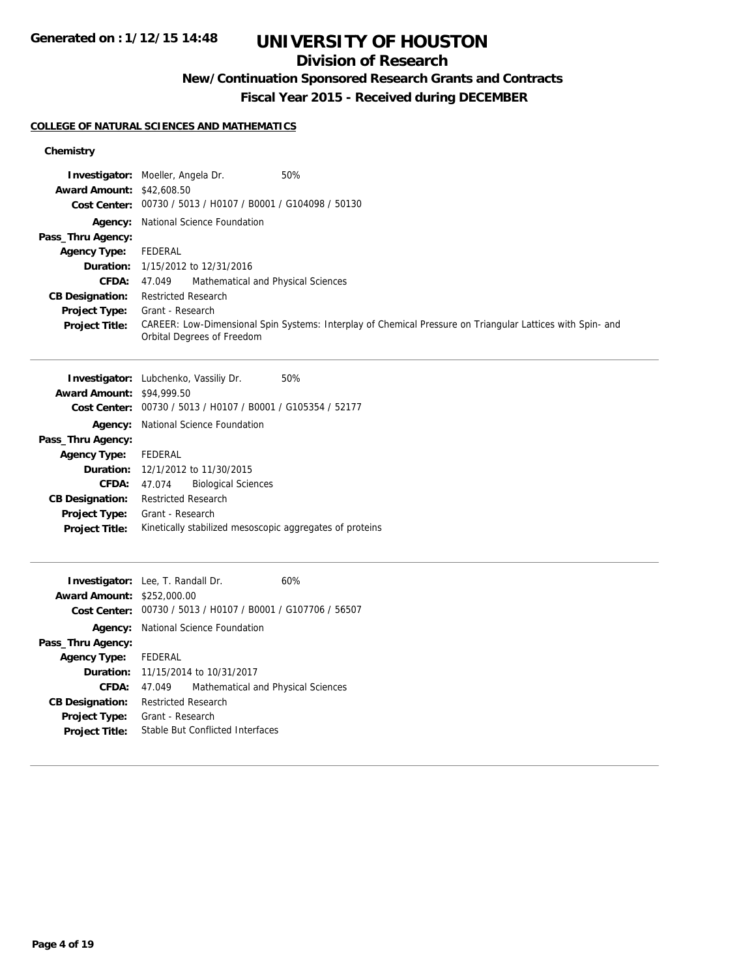## **Division of Research**

## **New/Continuation Sponsored Research Grants and Contracts**

**Fiscal Year 2015 - Received during DECEMBER**

#### **COLLEGE OF NATURAL SCIENCES AND MATHEMATICS**

**Duration:** 11/15/2014 to 10/31/2017

**Project Title:** Stable But Conflicted Interfaces

**CB Designation:** Restricted Research **Project Type:** Grant - Research

**CFDA:** 47.049 Mathematical and Physical Sciences

### **Chemistry**

| <b>Award Amount: \$42,608.50</b>  | Investigator: Moeller, Angela Dr.<br>Cost Center: 00730 / 5013 / H0107 / B0001 / G104098 / 50130 | 50%                                                                                                        |
|-----------------------------------|--------------------------------------------------------------------------------------------------|------------------------------------------------------------------------------------------------------------|
| Agency:<br>Pass_Thru Agency:      | National Science Foundation                                                                      |                                                                                                            |
| <b>Agency Type:</b>               | <b>FEDERAL</b>                                                                                   |                                                                                                            |
| Duration:                         | 1/15/2012 to 12/31/2016                                                                          |                                                                                                            |
| CFDA:                             | Mathematical and Physical Sciences<br>47.049                                                     |                                                                                                            |
| <b>CB Designation:</b>            | <b>Restricted Research</b>                                                                       |                                                                                                            |
| <b>Project Type:</b>              | Grant - Research                                                                                 |                                                                                                            |
| <b>Project Title:</b>             | Orbital Degrees of Freedom                                                                       | CAREER: Low-Dimensional Spin Systems: Interplay of Chemical Pressure on Triangular Lattices with Spin- and |
|                                   | Investigator: Lubchenko, Vassiliy Dr.                                                            | 50%                                                                                                        |
| <b>Award Amount: \$94,999.50</b>  |                                                                                                  |                                                                                                            |
| <b>Cost Center:</b>               | 00730 / 5013 / H0107 / B0001 / G105354 / 52177                                                   |                                                                                                            |
| Agency:                           | National Science Foundation                                                                      |                                                                                                            |
| Pass_Thru Agency:                 |                                                                                                  |                                                                                                            |
| <b>Agency Type:</b>               | <b>FEDERAL</b>                                                                                   |                                                                                                            |
| Duration:                         | 12/1/2012 to 11/30/2015                                                                          |                                                                                                            |
| <b>CFDA:</b>                      | <b>Biological Sciences</b><br>47.074                                                             |                                                                                                            |
| <b>CB Designation:</b>            | <b>Restricted Research</b>                                                                       |                                                                                                            |
| <b>Project Type:</b>              | Grant - Research                                                                                 |                                                                                                            |
| <b>Project Title:</b>             | Kinetically stabilized mesoscopic aggregates of proteins                                         |                                                                                                            |
|                                   | Investigator: Lee, T. Randall Dr.                                                                | 60%                                                                                                        |
| <b>Award Amount: \$252,000.00</b> |                                                                                                  |                                                                                                            |
|                                   | Cost Center: 00730 / 5013 / H0107 / B0001 / G107706 / 56507                                      |                                                                                                            |
| Agency:                           | National Science Foundation                                                                      |                                                                                                            |
| Pass_Thru Agency:                 |                                                                                                  |                                                                                                            |
| <b>Agency Type:</b>               | <b>FEDERAL</b>                                                                                   |                                                                                                            |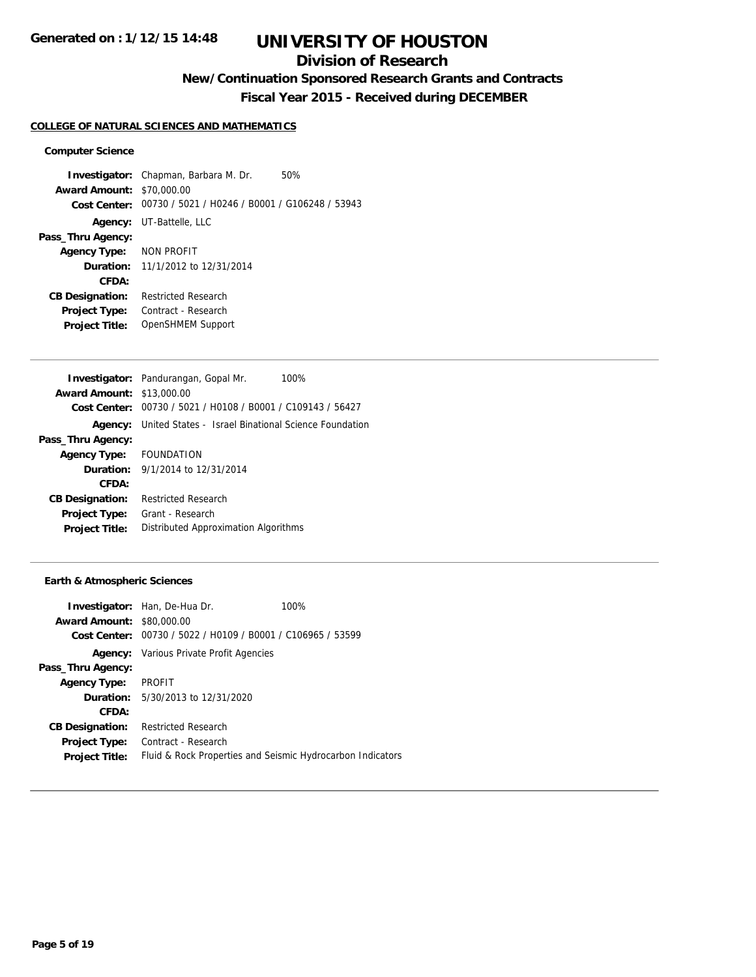### **Division of Research**

## **New/Continuation Sponsored Research Grants and Contracts**

**Fiscal Year 2015 - Received during DECEMBER**

#### **COLLEGE OF NATURAL SCIENCES AND MATHEMATICS**

#### **Computer Science**

**Investigator:** Chapman, Barbara M. Dr. 50% **Award Amount:** \$70,000.00 **Cost Center:** 00730 / 5021 / H0246 / B0001 / G106248 / 53943 **Agency:** UT-Battelle, LLC **Pass\_Thru Agency: Agency Type:** NON PROFIT **Duration:** 11/1/2012 to 12/31/2014 **CFDA: CB Designation:** Restricted Research **Project Type:** Contract - Research **Project Title:** OpenSHMEM Support

|                                  | <b>Investigator:</b> Pandurangan, Gopal Mr.<br>100%  |
|----------------------------------|------------------------------------------------------|
| <b>Award Amount: \$13,000.00</b> |                                                      |
| Cost Center:                     | 00730 / 5021 / H0108 / B0001 / C109143 / 56427       |
| Agency:                          | United States - Israel Binational Science Foundation |
| Pass_Thru Agency:                |                                                      |
| Agency Type: FOUNDATION          |                                                      |
|                                  | <b>Duration:</b> $9/1/2014$ to $12/31/2014$          |
| CFDA:                            |                                                      |
| <b>CB Designation:</b>           | Restricted Research                                  |
| <b>Project Type:</b>             | Grant - Research                                     |
| <b>Project Title:</b>            | Distributed Approximation Algorithms                 |
|                                  |                                                      |

#### **Earth & Atmospheric Sciences**

| <b>Award Amount: \$80,000.00</b> | <b>Investigator:</b> Han, De-Hua Dr.<br>Cost Center: 00730 / 5022 / H0109 / B0001 / C106965 / 53599 | 100% |
|----------------------------------|-----------------------------------------------------------------------------------------------------|------|
|                                  | <b>Agency:</b> Various Private Profit Agencies                                                      |      |
| Pass_Thru Agency:                |                                                                                                     |      |
| <b>Agency Type:</b>              | PROFIT                                                                                              |      |
|                                  | <b>Duration:</b> 5/30/2013 to 12/31/2020                                                            |      |
| CFDA:                            |                                                                                                     |      |
| <b>CB Designation:</b>           | <b>Restricted Research</b>                                                                          |      |
| <b>Project Type:</b>             | Contract - Research                                                                                 |      |
| <b>Project Title:</b>            | Fluid & Rock Properties and Seismic Hydrocarbon Indicators                                          |      |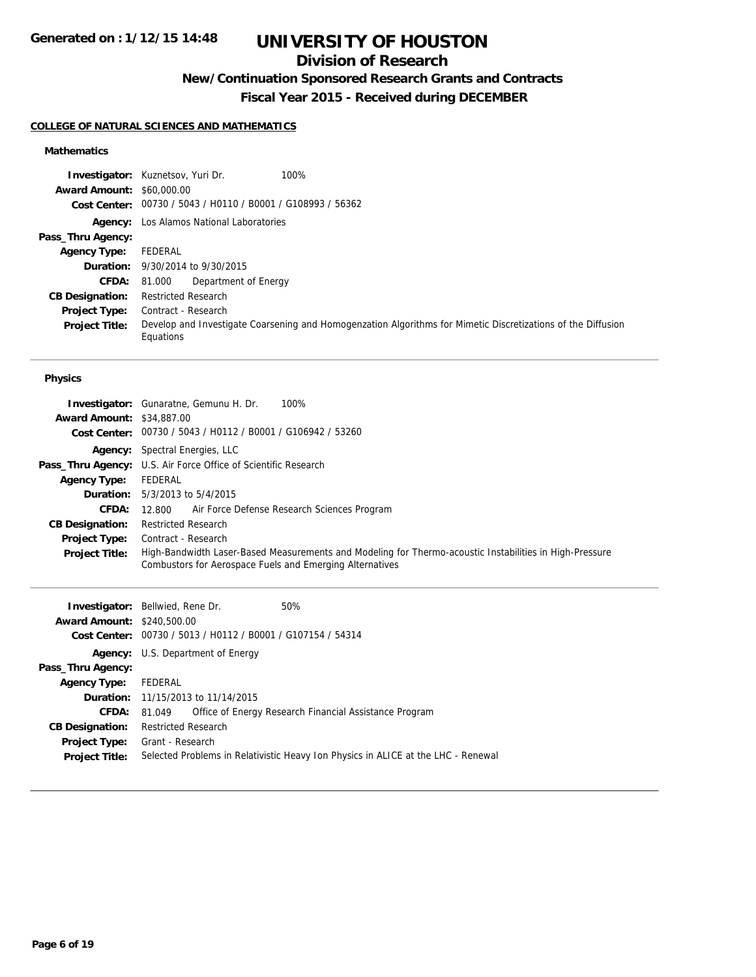### **Division of Research**

## **New/Continuation Sponsored Research Grants and Contracts**

**Fiscal Year 2015 - Received during DECEMBER**

### **COLLEGE OF NATURAL SCIENCES AND MATHEMATICS**

### **Mathematics**

|                                  | 100%<br><b>Investigator:</b> Kuznetsov, Yuri Dr.                                                                          |
|----------------------------------|---------------------------------------------------------------------------------------------------------------------------|
| <b>Award Amount: \$60,000.00</b> |                                                                                                                           |
|                                  | Cost Center: 00730 / 5043 / H0110 / B0001 / G108993 / 56362                                                               |
|                                  | <b>Agency:</b> Los Alamos National Laboratories                                                                           |
| Pass_Thru Agency:                |                                                                                                                           |
| <b>Agency Type:</b>              | FEDERAL                                                                                                                   |
|                                  | <b>Duration:</b> 9/30/2014 to 9/30/2015                                                                                   |
| <b>CFDA:</b>                     | Department of Energy<br>81.000                                                                                            |
| <b>CB Designation:</b>           | <b>Restricted Research</b>                                                                                                |
| <b>Project Type:</b>             | Contract - Research                                                                                                       |
| <b>Project Title:</b>            | Develop and Investigate Coarsening and Homogenzation Algorithms for Mimetic Discretizations of the Diffusion<br>Equations |

#### **Physics**

| <b>Award Amount: \$34,887,00</b> | <b>Investigator:</b> Gunaratne, Gemunu H. Dr.<br>100%                                                                                                               |
|----------------------------------|---------------------------------------------------------------------------------------------------------------------------------------------------------------------|
|                                  | Cost Center: 00730 / 5043 / H0112 / B0001 / G106942 / 53260                                                                                                         |
|                                  | <b>Agency:</b> Spectral Energies, LLC                                                                                                                               |
|                                  | <b>Pass_Thru Agency:</b> U.S. Air Force Office of Scientific Research                                                                                               |
| <b>Agency Type:</b>              | FEDERAL                                                                                                                                                             |
|                                  | <b>Duration:</b> $5/3/2013$ to $5/4/2015$                                                                                                                           |
| <b>CFDA:</b>                     | 12.800 Air Force Defense Research Sciences Program                                                                                                                  |
| <b>CB Designation:</b>           | <b>Restricted Research</b>                                                                                                                                          |
| <b>Project Type:</b>             | Contract - Research                                                                                                                                                 |
| <b>Project Title:</b>            | High-Bandwidth Laser-Based Measurements and Modeling for Thermo-acoustic Instabilities in High-Pressure<br>Combustors for Aerospace Fuels and Emerging Alternatives |

| <b>Award Amount: \$240,500.00</b> | <b>Investigator:</b> Bellwied, Rene Dr.<br>Cost Center: 00730 / 5013 / H0112 / B0001 / G107154 / 54314 | 50%                                                                               |
|-----------------------------------|--------------------------------------------------------------------------------------------------------|-----------------------------------------------------------------------------------|
|                                   | <b>Agency:</b> U.S. Department of Energy                                                               |                                                                                   |
| Pass_Thru Agency:                 |                                                                                                        |                                                                                   |
| <b>Agency Type:</b>               | FEDERAL                                                                                                |                                                                                   |
|                                   | <b>Duration:</b> 11/15/2013 to 11/14/2015                                                              |                                                                                   |
| <b>CFDA:</b>                      | 81.049                                                                                                 | Office of Energy Research Financial Assistance Program                            |
| <b>CB Designation:</b>            | <b>Restricted Research</b>                                                                             |                                                                                   |
| Project Type:                     | Grant - Research                                                                                       |                                                                                   |
| <b>Project Title:</b>             |                                                                                                        | Selected Problems in Relativistic Heavy Ion Physics in ALICE at the LHC - Renewal |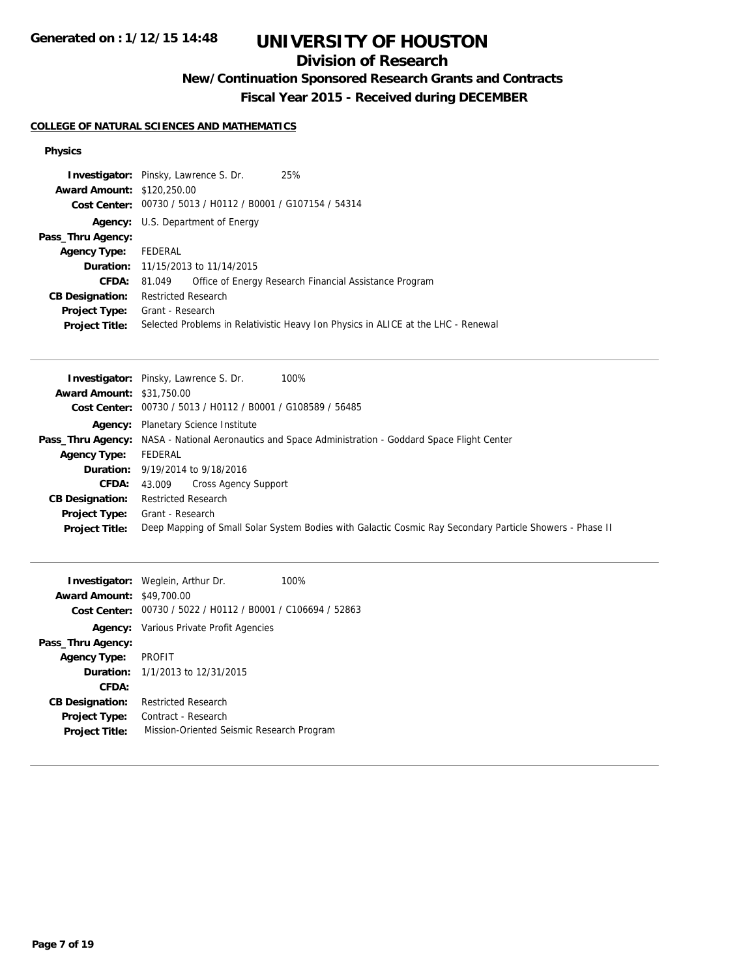### **Division of Research**

## **New/Continuation Sponsored Research Grants and Contracts**

**Fiscal Year 2015 - Received during DECEMBER**

### **COLLEGE OF NATURAL SCIENCES AND MATHEMATICS**

#### **Physics**

| <b>Award Amount: \$120,250.00</b><br>Cost Center: 00730 / 5013 / H0112 / B0001 / G107154 / 54314<br><b>Agency:</b> U.S. Department of Energy<br>Pass_Thru Agency:<br>FEDERAL<br><b>Agency Type:</b><br><b>Duration:</b> 11/15/2013 to 11/14/2015<br>Office of Energy Research Financial Assistance Program<br><b>CFDA:</b><br>81.049<br><b>Restricted Research</b><br><b>CB Designation:</b><br>Grant - Research<br><b>Project Type:</b><br>Selected Problems in Relativistic Heavy Ion Physics in ALICE at the LHC - Renewal<br><b>Project Title:</b> | <b>Investigator:</b> Pinsky, Lawrence S. Dr. | 25% |
|--------------------------------------------------------------------------------------------------------------------------------------------------------------------------------------------------------------------------------------------------------------------------------------------------------------------------------------------------------------------------------------------------------------------------------------------------------------------------------------------------------------------------------------------------------|----------------------------------------------|-----|
|                                                                                                                                                                                                                                                                                                                                                                                                                                                                                                                                                        |                                              |     |
|                                                                                                                                                                                                                                                                                                                                                                                                                                                                                                                                                        |                                              |     |
|                                                                                                                                                                                                                                                                                                                                                                                                                                                                                                                                                        |                                              |     |
|                                                                                                                                                                                                                                                                                                                                                                                                                                                                                                                                                        |                                              |     |
|                                                                                                                                                                                                                                                                                                                                                                                                                                                                                                                                                        |                                              |     |
|                                                                                                                                                                                                                                                                                                                                                                                                                                                                                                                                                        |                                              |     |
|                                                                                                                                                                                                                                                                                                                                                                                                                                                                                                                                                        |                                              |     |
|                                                                                                                                                                                                                                                                                                                                                                                                                                                                                                                                                        |                                              |     |
|                                                                                                                                                                                                                                                                                                                                                                                                                                                                                                                                                        |                                              |     |
|                                                                                                                                                                                                                                                                                                                                                                                                                                                                                                                                                        |                                              |     |

|                                  | 100%<br><b>Investigator:</b> Pinsky, Lawrence S. Dr.                                                        |
|----------------------------------|-------------------------------------------------------------------------------------------------------------|
| <b>Award Amount: \$31,750.00</b> |                                                                                                             |
|                                  | Cost Center: 00730 / 5013 / H0112 / B0001 / G108589 / 56485                                                 |
|                                  | <b>Agency:</b> Planetary Science Institute                                                                  |
|                                  | <b>Pass_Thru Agency:</b> NASA - National Aeronautics and Space Administration - Goddard Space Flight Center |
| <b>Agency Type:</b>              | FEDERAL                                                                                                     |
|                                  | <b>Duration:</b> 9/19/2014 to 9/18/2016                                                                     |
| <b>CFDA:</b>                     | 43.009 Cross Agency Support                                                                                 |
| <b>CB Designation:</b>           | <b>Restricted Research</b>                                                                                  |
| <b>Project Type:</b>             | Grant - Research                                                                                            |
| <b>Project Title:</b>            | Deep Mapping of Small Solar System Bodies with Galactic Cosmic Ray Secondary Particle Showers - Phase II    |

| <b>Award Amount: \$49,700.00</b> | <b>Investigator:</b> Weglein, Arthur Dr.                    | 100% |
|----------------------------------|-------------------------------------------------------------|------|
|                                  | Cost Center: 00730 / 5022 / H0112 / B0001 / C106694 / 52863 |      |
|                                  | <b>Agency:</b> Various Private Profit Agencies              |      |
| Pass_Thru Agency:                |                                                             |      |
| <b>Agency Type:</b>              | PROFIT                                                      |      |
|                                  | <b>Duration:</b> $1/1/2013$ to $12/31/2015$                 |      |
| CFDA:                            |                                                             |      |
| <b>CB Designation:</b>           | <b>Restricted Research</b>                                  |      |
| <b>Project Type:</b>             | Contract - Research                                         |      |
| <b>Project Title:</b>            | Mission-Oriented Seismic Research Program                   |      |
|                                  |                                                             |      |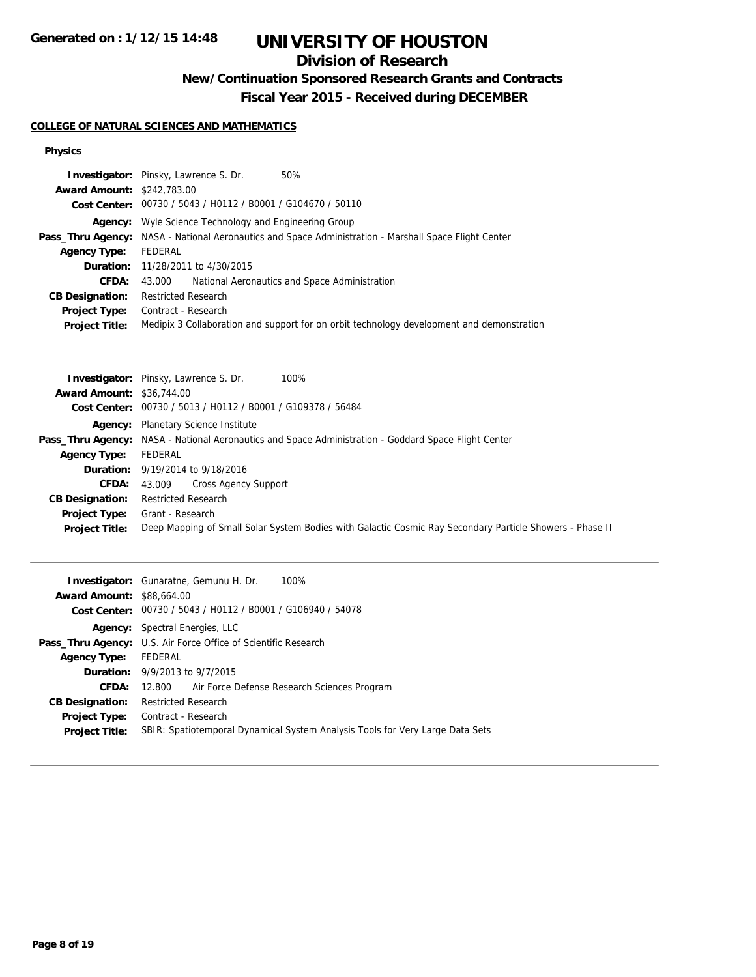## **Division of Research**

## **New/Continuation Sponsored Research Grants and Contracts**

**Fiscal Year 2015 - Received during DECEMBER**

### **COLLEGE OF NATURAL SCIENCES AND MATHEMATICS**

#### **Physics**

|                                   | 50%<br><b>Investigator:</b> Pinsky, Lawrence S. Dr.                                                          |
|-----------------------------------|--------------------------------------------------------------------------------------------------------------|
| <b>Award Amount: \$242,783.00</b> |                                                                                                              |
|                                   | Cost Center: 00730 / 5043 / H0112 / B0001 / G104670 / 50110                                                  |
|                                   | <b>Agency:</b> Wyle Science Technology and Engineering Group                                                 |
|                                   | <b>Pass_Thru Agency:</b> NASA - National Aeronautics and Space Administration - Marshall Space Flight Center |
| <b>Agency Type:</b>               | FEDERAL                                                                                                      |
|                                   | <b>Duration:</b> 11/28/2011 to 4/30/2015                                                                     |
| <b>CFDA:</b>                      | 43.000 National Aeronautics and Space Administration                                                         |
| <b>CB Designation:</b>            | <b>Restricted Research</b>                                                                                   |
| <b>Project Type:</b>              | Contract - Research                                                                                          |
| <b>Project Title:</b>             | Medipix 3 Collaboration and support for on orbit technology development and demonstration                    |

| 100%<br><b>Investigator:</b> Pinsky, Lawrence S. Dr.                                                        |
|-------------------------------------------------------------------------------------------------------------|
| <b>Award Amount: \$36,744.00</b>                                                                            |
| Cost Center: 00730 / 5013 / H0112 / B0001 / G109378 / 56484                                                 |
| <b>Agency:</b> Planetary Science Institute                                                                  |
| <b>Pass_Thru Agency:</b> NASA - National Aeronautics and Space Administration - Goddard Space Flight Center |
| FEDERAL                                                                                                     |
| <b>Duration:</b> 9/19/2014 to 9/18/2016                                                                     |
| 43.009 Cross Agency Support<br>CFDA:                                                                        |
| <b>Restricted Research</b>                                                                                  |
| Grant - Research                                                                                            |
| Deep Mapping of Small Solar System Bodies with Galactic Cosmic Ray Secondary Particle Showers - Phase II    |
|                                                                                                             |

|                                  | 100%<br><b>Investigator:</b> Gunaratne, Gemunu H. Dr.                         |
|----------------------------------|-------------------------------------------------------------------------------|
| <b>Award Amount: \$88,664.00</b> |                                                                               |
|                                  | Cost Center: 00730 / 5043 / H0112 / B0001 / G106940 / 54078                   |
|                                  | <b>Agency:</b> Spectral Energies, LLC                                         |
|                                  | <b>Pass_Thru Agency:</b> U.S. Air Force Office of Scientific Research         |
| <b>Agency Type:</b>              | FEDERAL                                                                       |
|                                  | Duration: 9/9/2013 to 9/7/2015                                                |
| CFDA:                            | 12.800 Air Force Defense Research Sciences Program                            |
| <b>CB Designation:</b>           | <b>Restricted Research</b>                                                    |
|                                  | <b>Project Type:</b> Contract - Research                                      |
| <b>Project Title:</b>            | SBIR: Spatiotemporal Dynamical System Analysis Tools for Very Large Data Sets |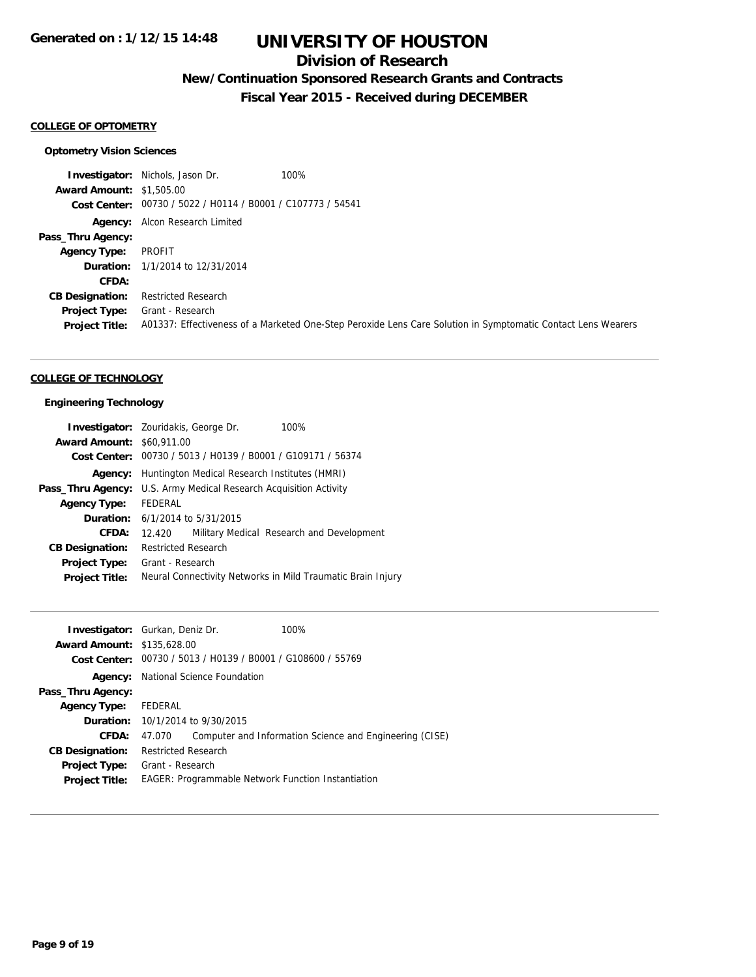## **Division of Research**

## **New/Continuation Sponsored Research Grants and Contracts**

**Fiscal Year 2015 - Received during DECEMBER**

#### **COLLEGE OF OPTOMETRY**

#### **Optometry Vision Sciences**

**Investigator:** Nichols, Jason Dr. 100% **Award Amount:** \$1,505.00 **Cost Center:** 00730 / 5022 / H0114 / B0001 / C107773 / 54541 **Agency:** Alcon Research Limited **Pass\_Thru Agency: Agency Type:** PROFIT **Duration:** 1/1/2014 to 12/31/2014 **CFDA: CB Designation:** Restricted Research **Project Type:** Grant - Research **Project Title:** A01337: Effectiveness of a Marketed One-Step Peroxide Lens Care Solution in Symptomatic Contact Lens Wearers

#### **COLLEGE OF TECHNOLOGY**

#### **Engineering Technology**

|                                  | <b>Investigator:</b> Zouridakis, George Dr.     | 100%                                                        |
|----------------------------------|-------------------------------------------------|-------------------------------------------------------------|
| <b>Award Amount: \$60,911,00</b> |                                                 |                                                             |
|                                  |                                                 | Cost Center: 00730 / 5013 / H0139 / B0001 / G109171 / 56374 |
| Agency:                          | Huntington Medical Research Institutes (HMRI)   |                                                             |
| Pass_Thru Agency:                | U.S. Army Medical Research Acquisition Activity |                                                             |
| <b>Agency Type:</b>              | FEDERAL                                         |                                                             |
|                                  | <b>Duration:</b> 6/1/2014 to 5/31/2015          |                                                             |
| CFDA:                            | 12.420                                          | Military Medical Research and Development                   |
| <b>CB Designation:</b>           | <b>Restricted Research</b>                      |                                                             |
| <b>Project Type:</b>             | Grant - Research                                |                                                             |
| <b>Project Title:</b>            |                                                 | Neural Connectivity Networks in Mild Traumatic Brain Injury |

| <b>Investigator:</b> Gurkan, Deniz Dr.<br><b>Award Amount: \$135,628,00</b> |                                             |                                            | 100%                                                        |
|-----------------------------------------------------------------------------|---------------------------------------------|--------------------------------------------|-------------------------------------------------------------|
|                                                                             |                                             |                                            | Cost Center: 00730 / 5013 / H0139 / B0001 / G108600 / 55769 |
|                                                                             |                                             | <b>Agency:</b> National Science Foundation |                                                             |
| Pass_Thru Agency:                                                           |                                             |                                            |                                                             |
| <b>Agency Type:</b>                                                         | FEDERAL                                     |                                            |                                                             |
|                                                                             | <b>Duration:</b> $10/1/2014$ to $9/30/2015$ |                                            |                                                             |
| <b>CFDA:</b>                                                                | 47.070                                      |                                            | Computer and Information Science and Engineering (CISE)     |
| <b>CB Designation:</b>                                                      | <b>Restricted Research</b>                  |                                            |                                                             |
| <b>Project Type:</b><br><b>Project Title:</b>                               | Grant - Research                            |                                            | <b>EAGER: Programmable Network Function Instantiation</b>   |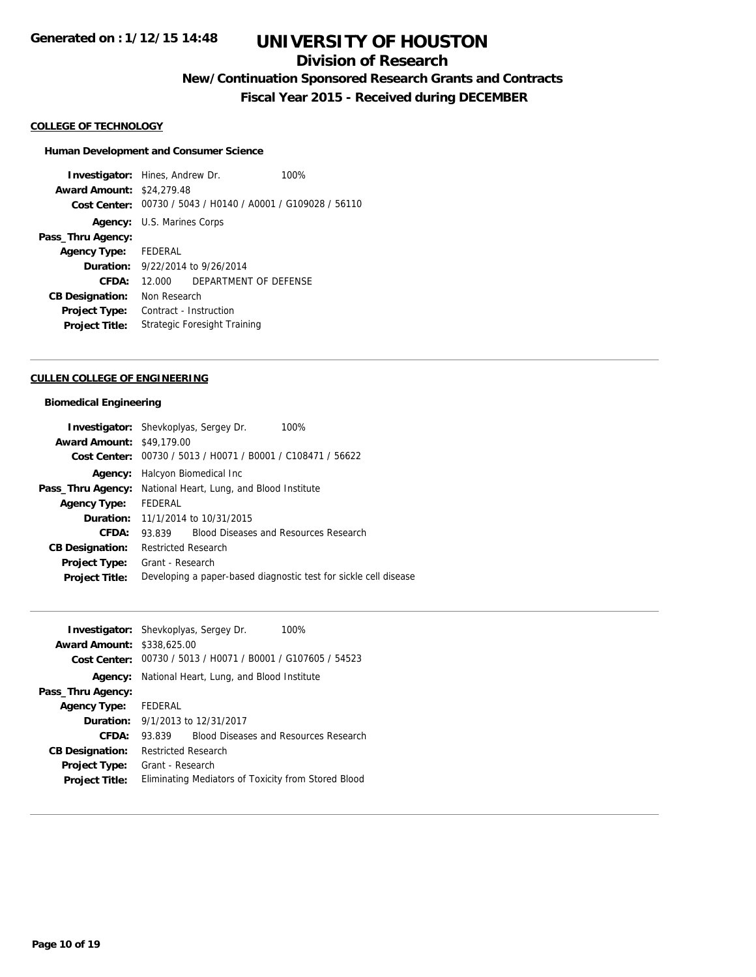### **Division of Research**

**New/Continuation Sponsored Research Grants and Contracts**

**Fiscal Year 2015 - Received during DECEMBER**

#### **COLLEGE OF TECHNOLOGY**

#### **Human Development and Consumer Science**

**Investigator:** Hines, Andrew Dr. 100% **Award Amount:** \$24,279.48 **Cost Center:** 00730 / 5043 / H0140 / A0001 / G109028 / 56110 **Agency:** U.S. Marines Corps **Pass\_Thru Agency: Agency Type:** FEDERAL **Duration:** 9/22/2014 to 9/26/2014 **CFDA:** 12.000 DEPARTMENT OF DEFENSE **CB Designation:** Non Research **Project Type:** Contract - Instruction **Project Title:** Strategic Foresight Training

#### **CULLEN COLLEGE OF ENGINEERING**

#### **Biomedical Engineering**

|                                  | <b>Investigator:</b> Shevkoplyas, Sergey Dr.<br>100%             |
|----------------------------------|------------------------------------------------------------------|
| <b>Award Amount: \$49,179.00</b> |                                                                  |
|                                  | Cost Center: 00730 / 5013 / H0071 / B0001 / C108471 / 56622      |
| Agency:                          | Halcyon Biomedical Inc                                           |
| Pass_Thru Agency:                | National Heart, Lung, and Blood Institute                        |
| <b>Agency Type:</b>              | FEDERAL                                                          |
|                                  | <b>Duration:</b> 11/1/2014 to 10/31/2015                         |
| CFDA:                            | <b>Blood Diseases and Resources Research</b><br>93.839           |
| <b>CB Designation:</b>           | <b>Restricted Research</b>                                       |
| <b>Project Type:</b>             | Grant - Research                                                 |
| <b>Project Title:</b>            | Developing a paper-based diagnostic test for sickle cell disease |

|                                   | <b>Investigator:</b> Shevkoplyas, Sergey Dr.<br>100%   |
|-----------------------------------|--------------------------------------------------------|
| <b>Award Amount: \$338,625.00</b> |                                                        |
| Cost Center:                      | 00730 / 5013 / H0071 / B0001 / G107605 / 54523         |
| Agency:                           | National Heart, Lung, and Blood Institute              |
| Pass_Thru Agency:                 |                                                        |
| Agency Type: FEDERAL              |                                                        |
|                                   | <b>Duration:</b> $9/1/2013$ to $12/31/2017$            |
| CFDA:                             | <b>Blood Diseases and Resources Research</b><br>93.839 |
| <b>CB Designation:</b>            | <b>Restricted Research</b>                             |
| <b>Project Type:</b>              | Grant - Research                                       |
| <b>Project Title:</b>             | Eliminating Mediators of Toxicity from Stored Blood    |
|                                   |                                                        |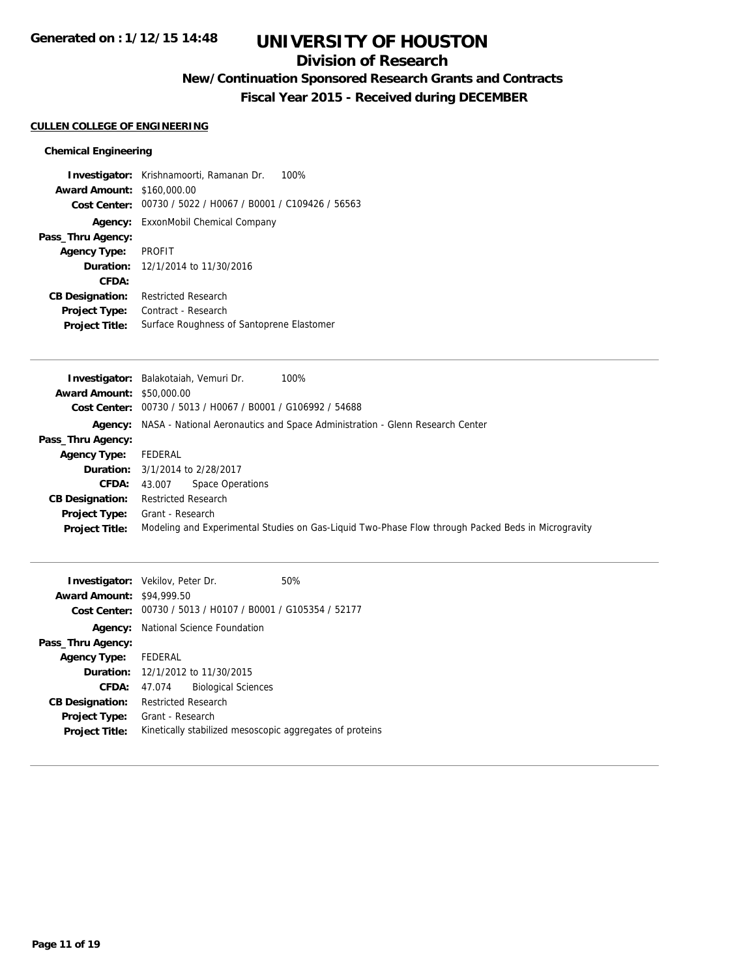### **Division of Research**

## **New/Continuation Sponsored Research Grants and Contracts**

**Fiscal Year 2015 - Received during DECEMBER**

#### **CULLEN COLLEGE OF ENGINEERING**

#### **Chemical Engineering**

**Investigator:** Krishnamoorti, Ramanan Dr. 100% **Award Amount:** \$160,000.00 **Cost Center:** 00730 / 5022 / H0067 / B0001 / C109426 / 56563 **Agency:** ExxonMobil Chemical Company **Pass\_Thru Agency: Agency Type:** PROFIT **Duration:** 12/1/2014 to 11/30/2016 **CFDA: CB Designation:** Restricted Research **Project Type:** Contract - Research **Project Title:** Surface Roughness of Santoprene Elastomer

|                                  | Investigator: Balakotaiah, Vemuri Dr.<br>100%                                                      |
|----------------------------------|----------------------------------------------------------------------------------------------------|
| <b>Award Amount: \$50,000.00</b> |                                                                                                    |
|                                  | Cost Center: 00730 / 5013 / H0067 / B0001 / G106992 / 54688                                        |
|                                  | <b>Agency:</b> NASA - National Aeronautics and Space Administration - Glenn Research Center        |
| Pass_Thru Agency:                |                                                                                                    |
| <b>Agency Type:</b>              | FEDERAL                                                                                            |
|                                  | <b>Duration:</b> 3/1/2014 to 2/28/2017                                                             |
| <b>CFDA:</b>                     | 43.007 Space Operations                                                                            |
| <b>CB Designation:</b>           | <b>Restricted Research</b>                                                                         |
| <b>Project Type:</b>             | Grant - Research                                                                                   |
| <b>Project Title:</b>            | Modeling and Experimental Studies on Gas-Liquid Two-Phase Flow through Packed Beds in Microgravity |
|                                  |                                                                                                    |

| <b>Investigator:</b> Vekilov, Peter Dr. |                            |                                                             | 50%                                                      |
|-----------------------------------------|----------------------------|-------------------------------------------------------------|----------------------------------------------------------|
| <b>Award Amount: \$94,999.50</b>        |                            |                                                             |                                                          |
|                                         |                            | Cost Center: 00730 / 5013 / H0107 / B0001 / G105354 / 52177 |                                                          |
| Agency:                                 |                            | National Science Foundation                                 |                                                          |
| Pass_Thru Agency:                       |                            |                                                             |                                                          |
| <b>Agency Type:</b>                     | FEDERAL                    |                                                             |                                                          |
|                                         |                            | <b>Duration:</b> 12/1/2012 to 11/30/2015                    |                                                          |
| CFDA:                                   | 47.074                     | <b>Biological Sciences</b>                                  |                                                          |
| <b>CB Designation:</b>                  | <b>Restricted Research</b> |                                                             |                                                          |
| <b>Project Type:</b>                    | Grant - Research           |                                                             |                                                          |
| <b>Project Title:</b>                   |                            |                                                             | Kinetically stabilized mesoscopic aggregates of proteins |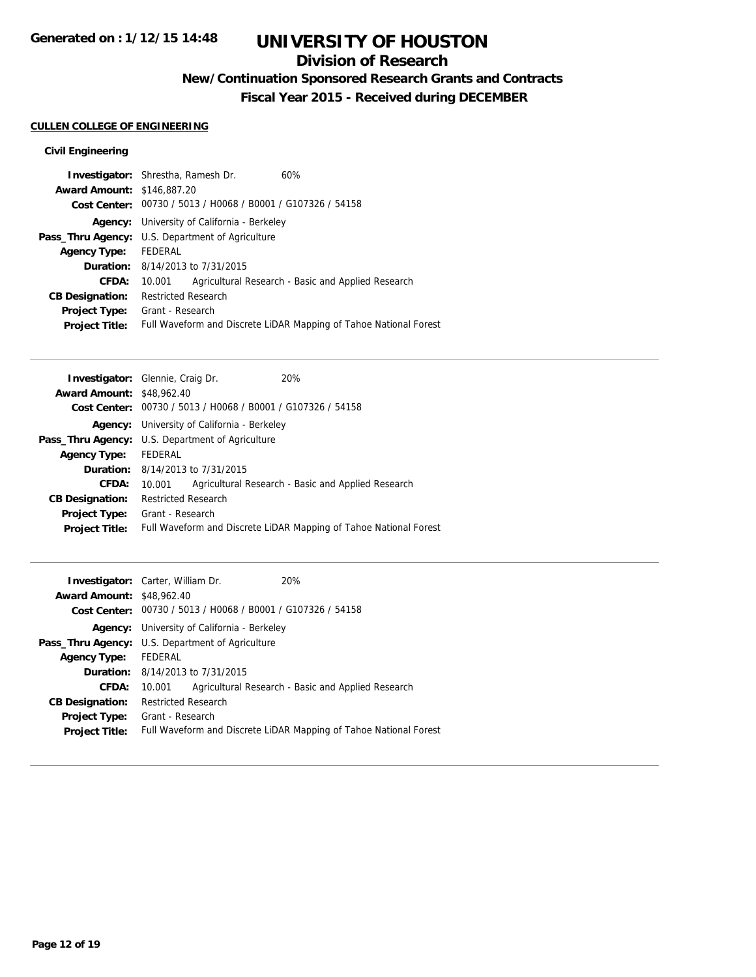### **Division of Research**

## **New/Continuation Sponsored Research Grants and Contracts**

**Fiscal Year 2015 - Received during DECEMBER**

### **CULLEN COLLEGE OF ENGINEERING**

### **Civil Engineering**

| <b>Investigator:</b> Shrestha, Ramesh Dr.                   | 60%                                                               |
|-------------------------------------------------------------|-------------------------------------------------------------------|
| <b>Award Amount: \$146,887.20</b>                           |                                                                   |
| Cost Center: 00730 / 5013 / H0068 / B0001 / G107326 / 54158 |                                                                   |
| <b>Agency:</b> University of California - Berkeley          |                                                                   |
| <b>Pass_Thru Agency:</b> U.S. Department of Agriculture     |                                                                   |
| FEDERAL                                                     |                                                                   |
| <b>Duration:</b> 8/14/2013 to 7/31/2015                     |                                                                   |
| 10.001                                                      | Agricultural Research - Basic and Applied Research                |
| <b>Restricted Research</b>                                  |                                                                   |
| Grant - Research                                            |                                                                   |
|                                                             | Full Waveform and Discrete LiDAR Mapping of Tahoe National Forest |
|                                                             |                                                                   |

| <b>Investigator:</b> Glennie, Craig Dr.                 |                            |                                                             | 20%                                                               |
|---------------------------------------------------------|----------------------------|-------------------------------------------------------------|-------------------------------------------------------------------|
| <b>Award Amount: \$48,962.40</b>                        |                            |                                                             |                                                                   |
|                                                         |                            | Cost Center: 00730 / 5013 / H0068 / B0001 / G107326 / 54158 |                                                                   |
|                                                         |                            | <b>Agency:</b> University of California - Berkeley          |                                                                   |
| <b>Pass_Thru Agency:</b> U.S. Department of Agriculture |                            |                                                             |                                                                   |
| <b>Agency Type:</b>                                     | FEDERAL                    |                                                             |                                                                   |
|                                                         |                            | <b>Duration:</b> 8/14/2013 to 7/31/2015                     |                                                                   |
| <b>CFDA:</b>                                            | 10.001                     |                                                             | Agricultural Research - Basic and Applied Research                |
| <b>CB Designation:</b>                                  | <b>Restricted Research</b> |                                                             |                                                                   |
| <b>Project Type:</b>                                    | Grant - Research           |                                                             |                                                                   |
| <b>Project Title:</b>                                   |                            |                                                             | Full Waveform and Discrete LiDAR Mapping of Tahoe National Forest |
|                                                         |                            |                                                             |                                                                   |

| <b>Award Amount: \$48,962.40</b> | <b>Investigator:</b> Carter, William Dr.                    | 20%                                                               |  |
|----------------------------------|-------------------------------------------------------------|-------------------------------------------------------------------|--|
|                                  |                                                             |                                                                   |  |
|                                  | Cost Center: 00730 / 5013 / H0068 / B0001 / G107326 / 54158 |                                                                   |  |
|                                  | <b>Agency:</b> University of California - Berkeley          |                                                                   |  |
|                                  | Pass_Thru Agency: U.S. Department of Agriculture            |                                                                   |  |
| <b>Agency Type:</b>              | FEDERAL                                                     |                                                                   |  |
|                                  | <b>Duration:</b> 8/14/2013 to 7/31/2015                     |                                                                   |  |
| <b>CFDA:</b>                     | 10.001                                                      | Agricultural Research - Basic and Applied Research                |  |
| <b>CB Designation:</b>           | <b>Restricted Research</b>                                  |                                                                   |  |
| <b>Project Type:</b>             | Grant - Research                                            |                                                                   |  |
| <b>Project Title:</b>            |                                                             | Full Waveform and Discrete LiDAR Mapping of Tahoe National Forest |  |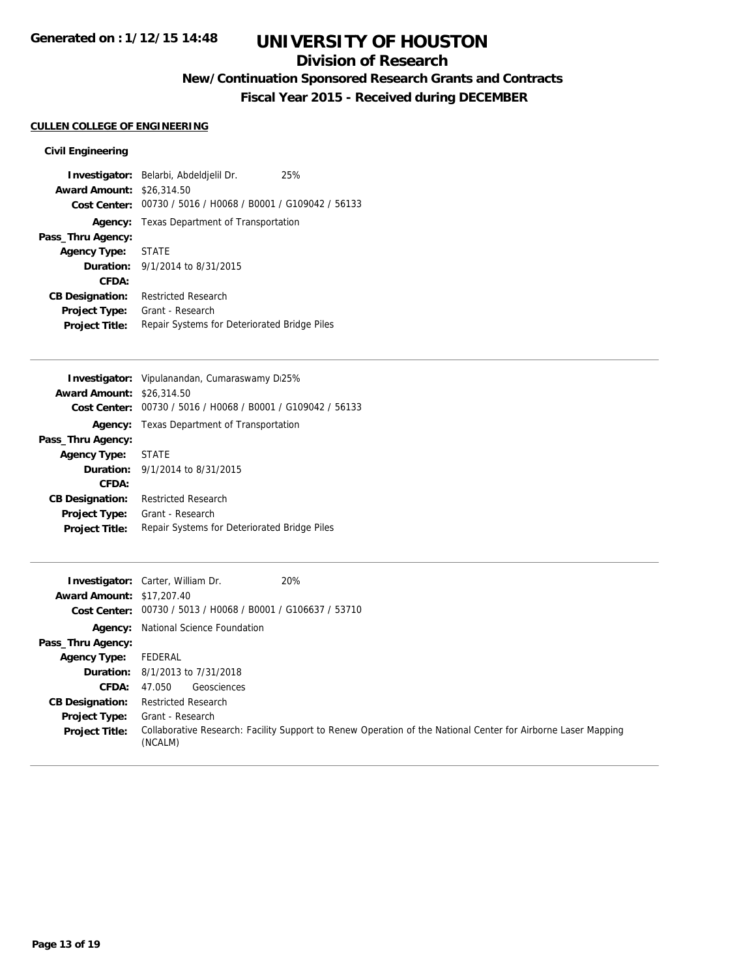### **Division of Research**

## **New/Continuation Sponsored Research Grants and Contracts**

**Fiscal Year 2015 - Received during DECEMBER**

### **CULLEN COLLEGE OF ENGINEERING**

### **Civil Engineering**

|                                  | Investigator: Belarbi, Abdeldjelil Dr.                      | 25% |
|----------------------------------|-------------------------------------------------------------|-----|
| <b>Award Amount: \$26,314.50</b> |                                                             |     |
|                                  | Cost Center: 00730 / 5016 / H0068 / B0001 / G109042 / 56133 |     |
|                                  | <b>Agency:</b> Texas Department of Transportation           |     |
| Pass_Thru Agency:                |                                                             |     |
| Agency Type: STATE               |                                                             |     |
|                                  | <b>Duration:</b> 9/1/2014 to 8/31/2015                      |     |
| CFDA:                            |                                                             |     |
| <b>CB Designation:</b>           | <b>Restricted Research</b>                                  |     |
| Project Type:                    | Grant - Research                                            |     |
| <b>Project Title:</b>            | Repair Systems for Deteriorated Bridge Piles                |     |

|                        | <b>Investigator:</b> Vipulanandan, Cumaraswamy Di25% |
|------------------------|------------------------------------------------------|
| <b>Award Amount:</b>   | \$26,314.50                                          |
| Cost Center:           | 00730 / 5016 / H0068 / B0001 / G109042 / 56133       |
|                        | Agency: Texas Department of Transportation           |
| Pass_Thru Agency:      |                                                      |
| <b>Agency Type:</b>    | <b>STATE</b>                                         |
|                        | <b>Duration:</b> $9/1/2014$ to $8/31/2015$           |
| CFDA:                  |                                                      |
| <b>CB Designation:</b> | <b>Restricted Research</b>                           |
| <b>Project Type:</b>   | Grant - Research                                     |
| <b>Project Title:</b>  | Repair Systems for Deteriorated Bridge Piles         |
|                        |                                                      |

|                                  | 20%<br><b>Investigator:</b> Carter, William Dr.                                                                          |
|----------------------------------|--------------------------------------------------------------------------------------------------------------------------|
| <b>Award Amount: \$17,207.40</b> |                                                                                                                          |
|                                  | Cost Center: 00730 / 5013 / H0068 / B0001 / G106637 / 53710                                                              |
|                                  | <b>Agency:</b> National Science Foundation                                                                               |
| Pass_Thru Agency:                |                                                                                                                          |
| <b>Agency Type:</b>              | FEDERAL                                                                                                                  |
|                                  | <b>Duration:</b> 8/1/2013 to 7/31/2018                                                                                   |
| <b>CFDA:</b>                     | Geosciences<br>47.050                                                                                                    |
| <b>CB Designation:</b>           | Restricted Research                                                                                                      |
| <b>Project Type:</b>             | Grant - Research                                                                                                         |
| <b>Project Title:</b>            | Collaborative Research: Facility Support to Renew Operation of the National Center for Airborne Laser Mapping<br>(NCALM) |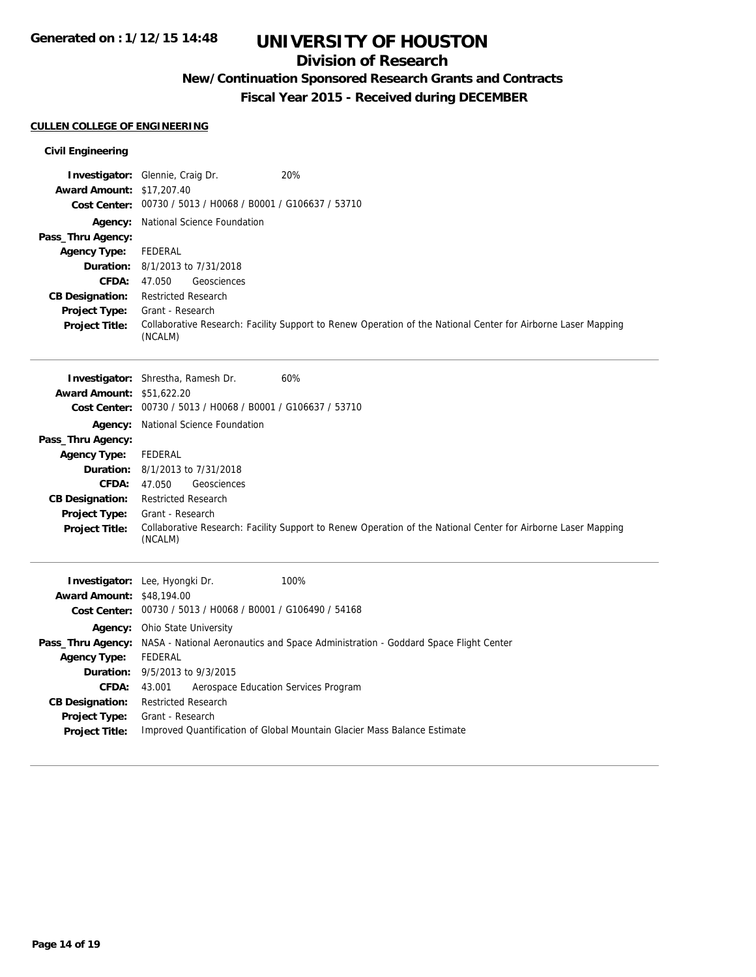### **Division of Research**

## **New/Continuation Sponsored Research Grants and Contracts**

**Fiscal Year 2015 - Received during DECEMBER**

### **CULLEN COLLEGE OF ENGINEERING**

### **Civil Engineering**

|                                  | 20%<br><b>Investigator:</b> Glennie, Craig Dr.                                                                           |
|----------------------------------|--------------------------------------------------------------------------------------------------------------------------|
| <b>Award Amount: \$17,207.40</b> | Cost Center: 00730 / 5013 / H0068 / B0001 / G106637 / 53710                                                              |
|                                  | <b>Agency:</b> National Science Foundation                                                                               |
| Pass_Thru Agency:                |                                                                                                                          |
| <b>Agency Type:</b>              | <b>FEDERAL</b>                                                                                                           |
| Duration:                        | 8/1/2013 to 7/31/2018                                                                                                    |
| <b>CFDA:</b>                     | 47.050<br>Geosciences                                                                                                    |
| <b>CB Designation:</b>           | <b>Restricted Research</b>                                                                                               |
| <b>Project Type:</b>             | Grant - Research                                                                                                         |
| <b>Project Title:</b>            | Collaborative Research: Facility Support to Renew Operation of the National Center for Airborne Laser Mapping<br>(NCALM) |
|                                  | 60%<br>Investigator: Shrestha, Ramesh Dr.                                                                                |
| <b>Award Amount: \$51,622.20</b> |                                                                                                                          |
|                                  | Cost Center: 00730 / 5013 / H0068 / B0001 / G106637 / 53710                                                              |
|                                  | <b>Agency:</b> National Science Foundation                                                                               |
| Pass_Thru Agency:                |                                                                                                                          |
| <b>Agency Type:</b>              | <b>FEDERAL</b>                                                                                                           |
|                                  | <b>Duration:</b> 8/1/2013 to 7/31/2018                                                                                   |
| <b>CFDA:</b>                     | 47.050<br>Geosciences                                                                                                    |
| <b>CB Designation:</b>           | <b>Restricted Research</b>                                                                                               |
| <b>Project Type:</b>             | Grant - Research                                                                                                         |
| <b>Project Title:</b>            | Collaborative Research: Facility Support to Renew Operation of the National Center for Airborne Laser Mapping<br>(NCALM) |
|                                  | Investigator: Lee, Hyongki Dr.<br>100%                                                                                   |
| <b>Award Amount: \$48,194.00</b> |                                                                                                                          |
|                                  | Cost Center: 00730 / 5013 / H0068 / B0001 / G106490 / 54168                                                              |
|                                  | Agency: Ohio State University                                                                                            |
| Pass_Thru Agency:                | NASA - National Aeronautics and Space Administration - Goddard Space Flight Center                                       |
| <b>Agency Type:</b>              | <b>FEDERAL</b>                                                                                                           |
| Duration:                        | 9/5/2013 to 9/3/2015                                                                                                     |
| <b>CFDA:</b>                     | 43.001<br>Aerospace Education Services Program                                                                           |
| <b>CB Designation:</b>           | <b>Restricted Research</b>                                                                                               |
| Project Type:                    | Grant - Research                                                                                                         |
| <b>Project Title:</b>            | Improved Quantification of Global Mountain Glacier Mass Balance Estimate                                                 |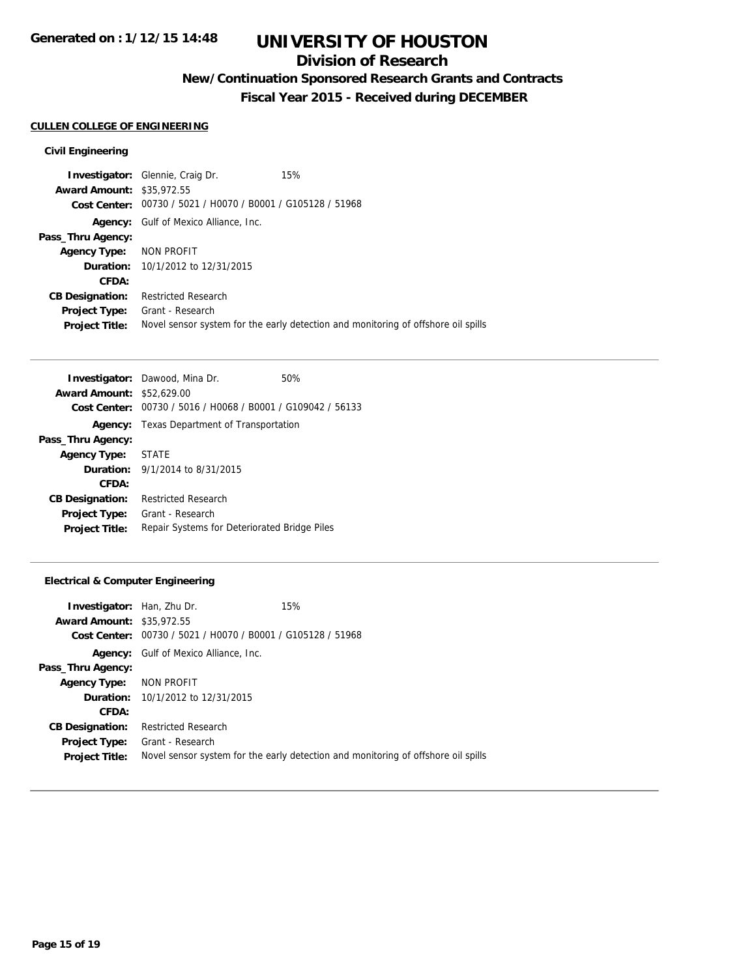### **Division of Research**

## **New/Continuation Sponsored Research Grants and Contracts**

**Fiscal Year 2015 - Received during DECEMBER**

#### **CULLEN COLLEGE OF ENGINEERING**

#### **Civil Engineering**

**Investigator:** Glennie, Craig Dr. 15% **Award Amount:** \$35,972.55 **Cost Center:** 00730 / 5021 / H0070 / B0001 / G105128 / 51968 **Agency:** Gulf of Mexico Alliance, Inc. **Pass\_Thru Agency: Agency Type:** NON PROFIT **Duration:** 10/1/2012 to 12/31/2015 **CFDA: CB Designation:** Restricted Research **Project Type:** Grant - Research Project Title: Novel sensor system for the early detection and monitoring of offshore oil spills

|                                  | <b>Investigator:</b> Dawood, Mina Dr.          | 50% |
|----------------------------------|------------------------------------------------|-----|
| <b>Award Amount: \$52,629.00</b> |                                                |     |
| Cost Center:                     | 00730 / 5016 / H0068 / B0001 / G109042 / 56133 |     |
| Agency:                          | Texas Department of Transportation             |     |
| Pass_Thru Agency:                |                                                |     |
| Agency Type:                     | <b>STATE</b>                                   |     |
|                                  | <b>Duration:</b> $9/1/2014$ to $8/31/2015$     |     |
| CFDA:                            |                                                |     |
| <b>CB Designation:</b>           | <b>Restricted Research</b>                     |     |
| <b>Project Type:</b>             | Grant - Research                               |     |
| <b>Project Title:</b>            | Repair Systems for Deteriorated Bridge Piles   |     |

#### **Electrical & Computer Engineering**

| <b>Investigator:</b> Han, Zhu Dr. |                                                | 15%                                                                               |
|-----------------------------------|------------------------------------------------|-----------------------------------------------------------------------------------|
| <b>Award Amount: \$35,972.55</b>  |                                                |                                                                                   |
| Cost Center:                      | 00730 / 5021 / H0070 / B0001 / G105128 / 51968 |                                                                                   |
| Agency:                           | Gulf of Mexico Alliance, Inc.                  |                                                                                   |
| Pass_Thru Agency:                 |                                                |                                                                                   |
| <b>Agency Type:</b>               | NON PROFIT                                     |                                                                                   |
|                                   | <b>Duration:</b> 10/1/2012 to 12/31/2015       |                                                                                   |
| CFDA:                             |                                                |                                                                                   |
| <b>CB Designation:</b>            | Restricted Research                            |                                                                                   |
|                                   | <b>Project Type:</b> Grant - Research          |                                                                                   |
| <b>Project Title:</b>             |                                                | Novel sensor system for the early detection and monitoring of offshore oil spills |
|                                   |                                                |                                                                                   |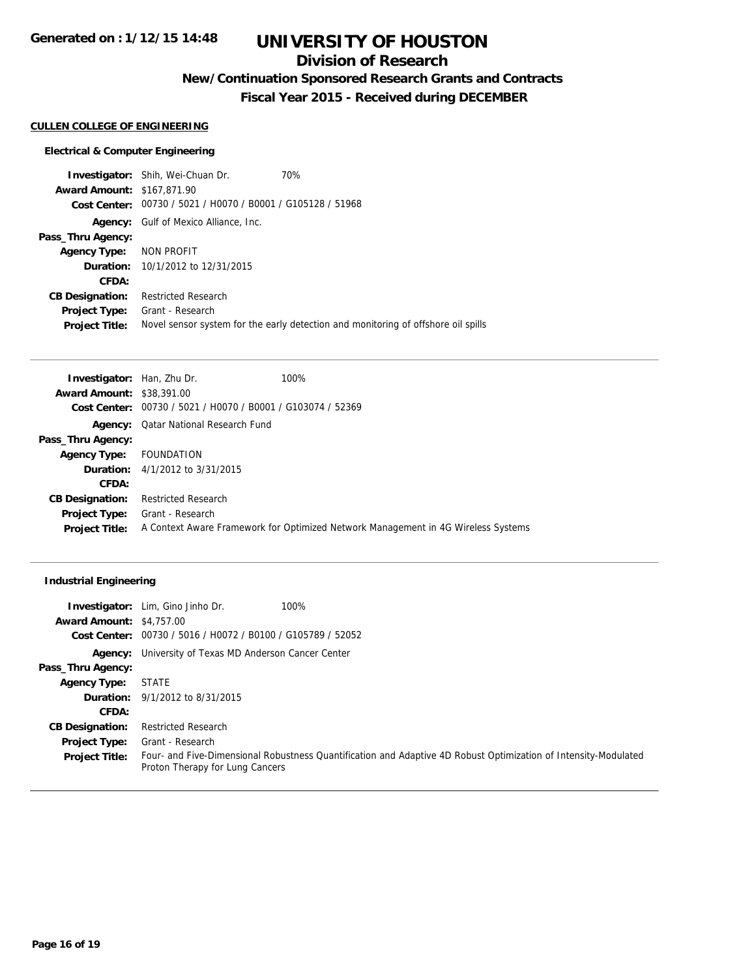### **Division of Research**

## **New/Continuation Sponsored Research Grants and Contracts**

**Fiscal Year 2015 - Received during DECEMBER**

#### **CULLEN COLLEGE OF ENGINEERING**

#### **Electrical & Computer Engineering**

**Investigator:** Shih, Wei-Chuan Dr. 70% **Award Amount:** \$167,871.90 **Cost Center:** 00730 / 5021 / H0070 / B0001 / G105128 / 51968 **Agency:** Gulf of Mexico Alliance, Inc. **Pass\_Thru Agency: Agency Type:** NON PROFIT **Duration:** 10/1/2012 to 12/31/2015 **CFDA: CB Designation:** Restricted Research **Project Type:** Grant - Research Project Title: Novel sensor system for the early detection and monitoring of offshore oil spills

| <b>Investigator:</b> Han, Zhu Dr. |                                                             | 100%                                                                              |
|-----------------------------------|-------------------------------------------------------------|-----------------------------------------------------------------------------------|
| <b>Award Amount: \$38,391.00</b>  |                                                             |                                                                                   |
|                                   | Cost Center: 00730 / 5021 / H0070 / B0001 / G103074 / 52369 |                                                                                   |
|                                   | <b>Agency:</b> Qatar National Research Fund                 |                                                                                   |
| Pass_Thru Agency:                 |                                                             |                                                                                   |
| <b>Agency Type:</b>               | FOUNDATION                                                  |                                                                                   |
|                                   | <b>Duration:</b> 4/1/2012 to 3/31/2015                      |                                                                                   |
| CFDA:                             |                                                             |                                                                                   |
| <b>CB Designation:</b>            | Restricted Research                                         |                                                                                   |
| <b>Project Type:</b>              | Grant - Research                                            |                                                                                   |
| <b>Project Title:</b>             |                                                             | A Context Aware Framework for Optimized Network Management in 4G Wireless Systems |
|                                   |                                                             |                                                                                   |

#### **Industrial Engineering**

|                                 | 100%<br><b>Investigator:</b> Lim, Gino Jinho Dr.                                                                                                   |
|---------------------------------|----------------------------------------------------------------------------------------------------------------------------------------------------|
| <b>Award Amount: \$4,757.00</b> |                                                                                                                                                    |
|                                 | Cost Center: 00730 / 5016 / H0072 / B0100 / G105789 / 52052                                                                                        |
|                                 | <b>Agency:</b> University of Texas MD Anderson Cancer Center                                                                                       |
| Pass_Thru Agency:               |                                                                                                                                                    |
| <b>Agency Type:</b>             | <b>STATE</b>                                                                                                                                       |
|                                 | <b>Duration:</b> 9/1/2012 to 8/31/2015                                                                                                             |
| CFDA:                           |                                                                                                                                                    |
| <b>CB Designation:</b>          | <b>Restricted Research</b>                                                                                                                         |
| <b>Project Type:</b>            | Grant - Research                                                                                                                                   |
| <b>Project Title:</b>           | Four- and Five-Dimensional Robustness Quantification and Adaptive 4D Robust Optimization of Intensity-Modulated<br>Proton Therapy for Lung Cancers |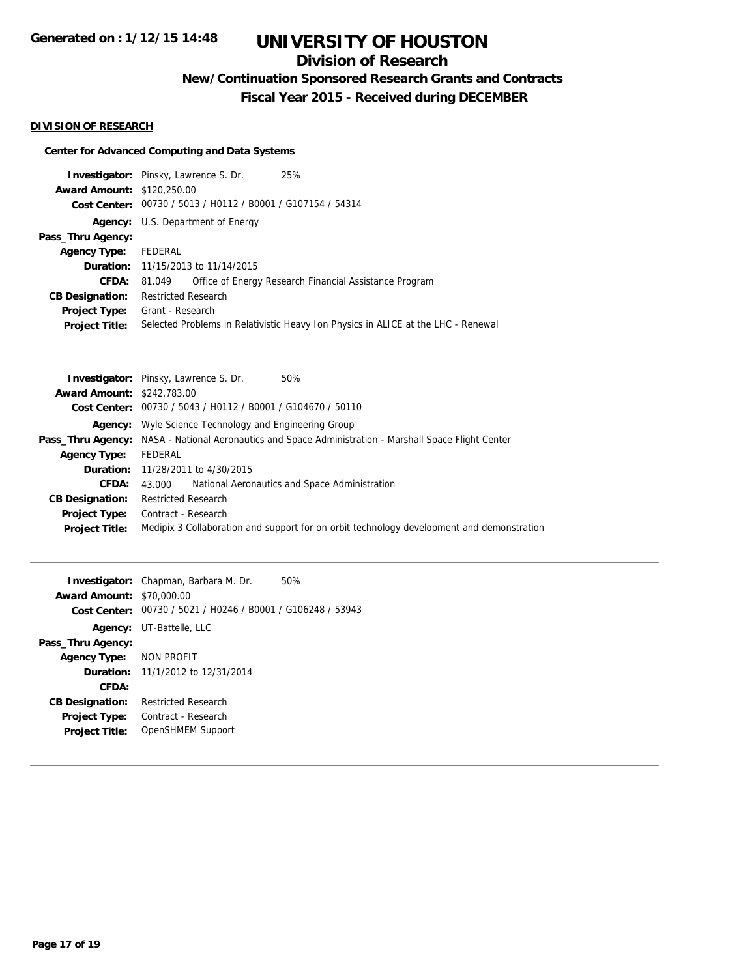## **Division of Research**

**New/Continuation Sponsored Research Grants and Contracts**

**Fiscal Year 2015 - Received during DECEMBER**

### **DIVISION OF RESEARCH**

### **Center for Advanced Computing and Data Systems**

| <b>Investigator:</b> Pinsky, Lawrence S. Dr. |                                                             |  | 25%                                                                               |  |
|----------------------------------------------|-------------------------------------------------------------|--|-----------------------------------------------------------------------------------|--|
| <b>Award Amount: \$120,250.00</b>            |                                                             |  |                                                                                   |  |
|                                              | Cost Center: 00730 / 5013 / H0112 / B0001 / G107154 / 54314 |  |                                                                                   |  |
|                                              | <b>Agency:</b> U.S. Department of Energy                    |  |                                                                                   |  |
| Pass_Thru Agency:                            |                                                             |  |                                                                                   |  |
| <b>Agency Type:</b>                          | FEDERAL                                                     |  |                                                                                   |  |
|                                              | <b>Duration:</b> 11/15/2013 to 11/14/2015                   |  |                                                                                   |  |
| <b>CFDA:</b>                                 | 81.049                                                      |  | Office of Energy Research Financial Assistance Program                            |  |
| <b>CB Designation:</b>                       | <b>Restricted Research</b>                                  |  |                                                                                   |  |
| Project Type:                                | Grant - Research                                            |  |                                                                                   |  |
| <b>Project Title:</b>                        |                                                             |  | Selected Problems in Relativistic Heavy Ion Physics in ALICE at the LHC - Renewal |  |
|                                              |                                                             |  |                                                                                   |  |

|                                   | Investigator: Pinsky, Lawrence S. Dr.<br>50%                                                                 |  |  |  |
|-----------------------------------|--------------------------------------------------------------------------------------------------------------|--|--|--|
| <b>Award Amount: \$242,783.00</b> |                                                                                                              |  |  |  |
|                                   | Cost Center: 00730 / 5043 / H0112 / B0001 / G104670 / 50110                                                  |  |  |  |
|                                   | <b>Agency:</b> Wyle Science Technology and Engineering Group                                                 |  |  |  |
|                                   | <b>Pass_Thru Agency:</b> NASA - National Aeronautics and Space Administration - Marshall Space Flight Center |  |  |  |
| <b>Agency Type:</b>               | FEDERAL                                                                                                      |  |  |  |
|                                   | <b>Duration:</b> 11/28/2011 to 4/30/2015                                                                     |  |  |  |
| CFDA:                             | National Aeronautics and Space Administration<br>43.000                                                      |  |  |  |
| <b>CB Designation:</b>            | <b>Restricted Research</b>                                                                                   |  |  |  |
| <b>Project Type:</b>              | Contract - Research                                                                                          |  |  |  |
| <b>Project Title:</b>             | Medipix 3 Collaboration and support for on orbit technology development and demonstration                    |  |  |  |
|                                   |                                                                                                              |  |  |  |

|                                  | <b>Investigator:</b> Chapman, Barbara M. Dr.<br>50%         |  |
|----------------------------------|-------------------------------------------------------------|--|
| <b>Award Amount: \$70,000.00</b> |                                                             |  |
|                                  | Cost Center: 00730 / 5021 / H0246 / B0001 / G106248 / 53943 |  |
|                                  | <b>Agency:</b> UT-Battelle, LLC                             |  |
| Pass_Thru Agency:                |                                                             |  |
| Agency Type: NON PROFIT          |                                                             |  |
|                                  | Duration: 11/1/2012 to 12/31/2014                           |  |
| CFDA:                            |                                                             |  |
| <b>CB Designation:</b>           | <b>Restricted Research</b>                                  |  |
| <b>Project Type:</b>             | Contract - Research                                         |  |
| <b>Project Title:</b>            | OpenSHMEM Support                                           |  |
|                                  |                                                             |  |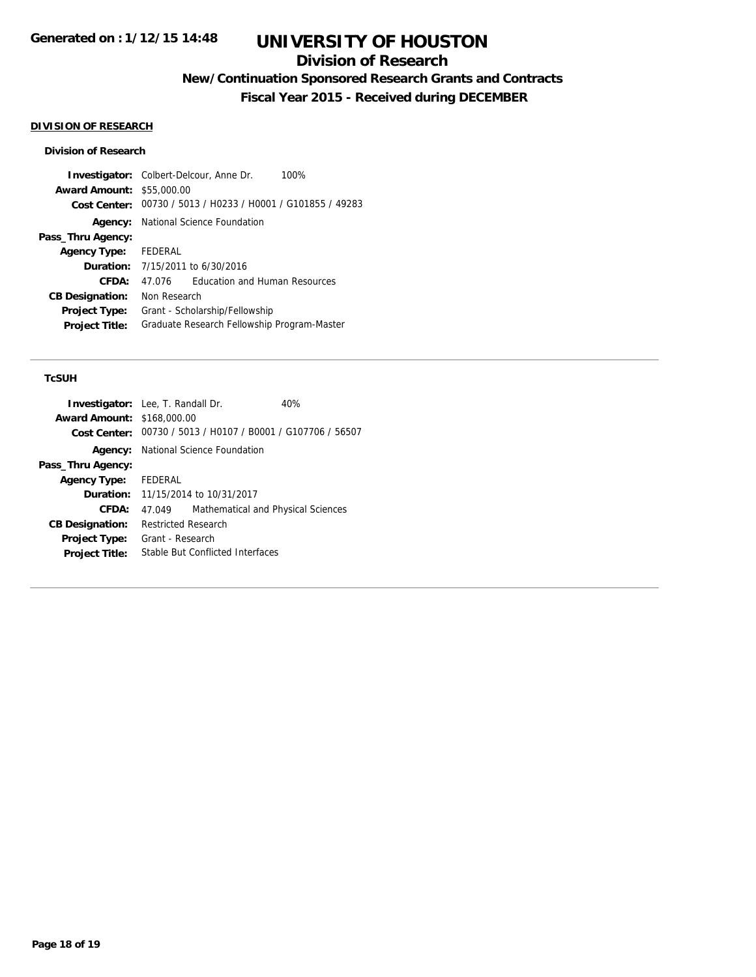### **Division of Research**

**New/Continuation Sponsored Research Grants and Contracts**

**Fiscal Year 2015 - Received during DECEMBER**

### **DIVISION OF RESEARCH**

#### **Division of Research**

|                                  | <b>Investigator:</b> Colbert-Delcour, Anne Dr.<br>100%      |  |  |
|----------------------------------|-------------------------------------------------------------|--|--|
| <b>Award Amount: \$55,000.00</b> |                                                             |  |  |
|                                  | Cost Center: 00730 / 5013 / H0233 / H0001 / G101855 / 49283 |  |  |
|                                  | <b>Agency:</b> National Science Foundation                  |  |  |
| Pass_Thru Agency:                |                                                             |  |  |
| Agency Type: FEDERAL             |                                                             |  |  |
|                                  | <b>Duration:</b> 7/15/2011 to 6/30/2016                     |  |  |
| CFDA:                            | <b>Education and Human Resources</b><br>47 076              |  |  |
| <b>CB Designation:</b>           | Non Research                                                |  |  |
| <b>Project Type:</b>             | Grant - Scholarship/Fellowship                              |  |  |
| <b>Project Title:</b>            | Graduate Research Fellowship Program-Master                 |  |  |

### **TcSUH**

| <b>Investigator:</b> Lee, T. Randall Dr. |                                                             |                                           | 40% |
|------------------------------------------|-------------------------------------------------------------|-------------------------------------------|-----|
| <b>Award Amount: \$168,000.00</b>        |                                                             |                                           |     |
|                                          | Cost Center: 00730 / 5013 / H0107 / B0001 / G107706 / 56507 |                                           |     |
|                                          | <b>Agency:</b> National Science Foundation                  |                                           |     |
| Pass_Thru Agency:                        |                                                             |                                           |     |
| Agency Type: FEDERAL                     |                                                             |                                           |     |
|                                          |                                                             | <b>Duration:</b> 11/15/2014 to 10/31/2017 |     |
| CFDA:                                    | 47.049                                                      | Mathematical and Physical Sciences        |     |
| <b>CB Designation:</b>                   | <b>Restricted Research</b>                                  |                                           |     |
| <b>Project Type:</b>                     | Grant - Research                                            |                                           |     |
| <b>Project Title:</b>                    |                                                             | Stable But Conflicted Interfaces          |     |